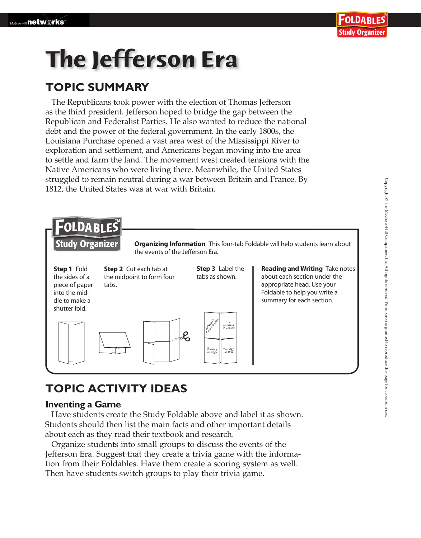# **The Jefferson Era**

### **TOPIC SUMMARY**

The Republicans took power with the election of Thomas Jefferson as the third president. Jefferson hoped to bridge the gap between the Republican and Federalist Parties. He also wanted to reduce the national debt and the power of the federal government. In the early 1800s, the Louisiana Purchase opened a vast area west of the Mississippi River to exploration and settlement, and Americans began moving into the area to settle and farm the land. The movement west created tensions with the Native Americans who were living there. Meanwhile, the United States struggled to remain neutral during a war between Britain and France. By 1812, the United States was at war with Britain.



## **TOPIC ACTIVITY IDEAS**

#### **Inventing a Game**

 Have students create the Study Foldable above and label it as shown. Students should then list the main facts and other important details about each as they read their textbook and research.

Organize students into small groups to discuss the events of the Jefferson Era. Suggest that they create a trivia game with the information from their Foldables. Have them create a scoring system as well. Then have students switch groups to play their trivia game.